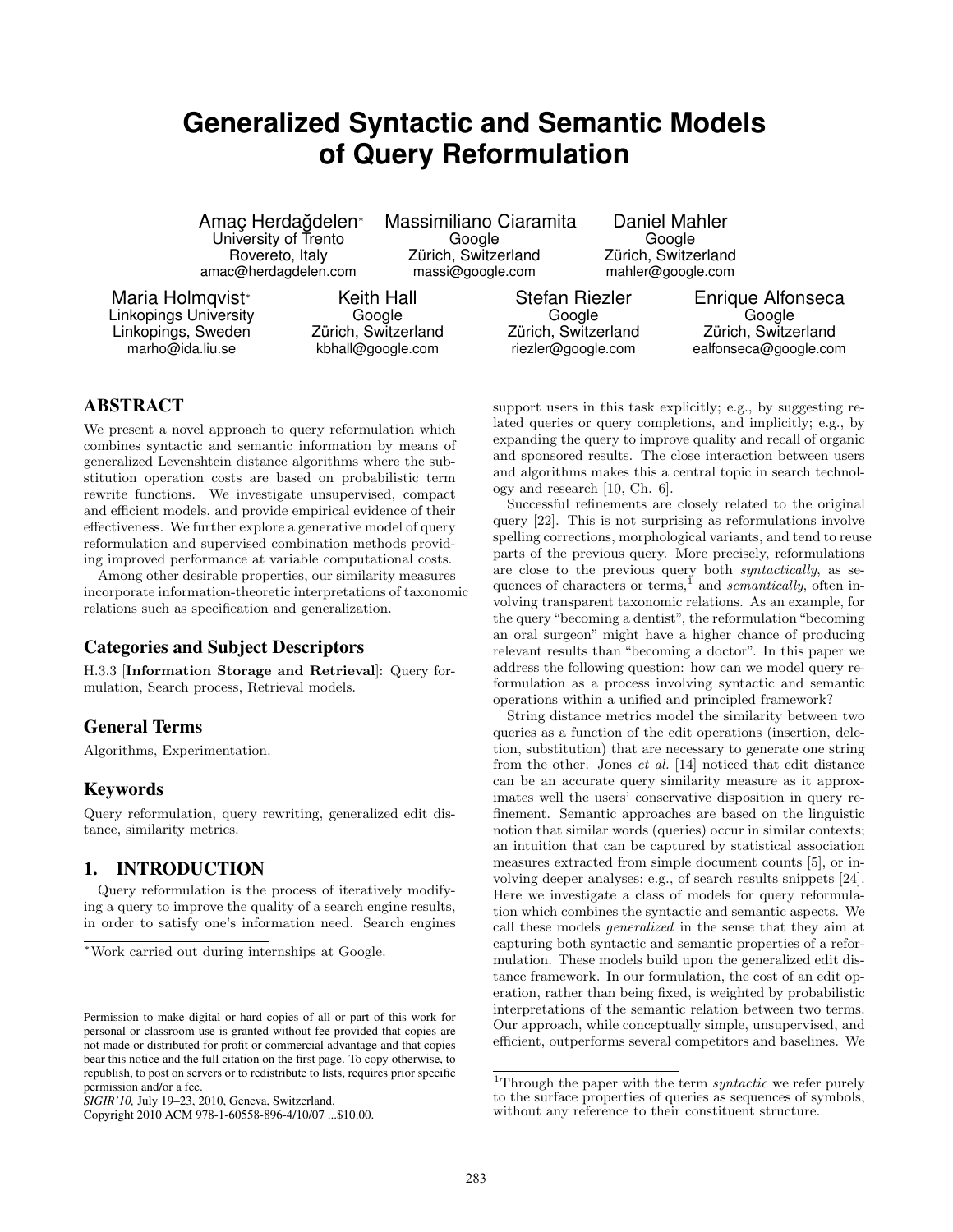# **Generalized Syntactic and Semantic Models of Query Reformulation**

Amaç Herdağdelen<sup>∗</sup> University of Trento Rovereto, Italy amac@herdagdelen.com

Massimiliano Ciaramita Google Zürich, Switzerland massi@google.com

Daniel Mahler Google Zürich, Switzerland mahler@google.com

Maria Holmqvist<sup>∗</sup> Linkopings University Linkopings, Sweden marho@ida.liu.se

Keith Hall Google Zürich, Switzerland kbhall@google.com

Stefan Riezler Google Zürich, Switzerland riezler@google.com

Enrique Alfonseca Google Zürich, Switzerland ealfonseca@google.com

# ABSTRACT

We present a novel approach to query reformulation which combines syntactic and semantic information by means of generalized Levenshtein distance algorithms where the substitution operation costs are based on probabilistic term rewrite functions. We investigate unsupervised, compact and efficient models, and provide empirical evidence of their effectiveness. We further explore a generative model of query reformulation and supervised combination methods providing improved performance at variable computational costs.

Among other desirable properties, our similarity measures incorporate information-theoretic interpretations of taxonomic relations such as specification and generalization.

# Categories and Subject Descriptors

H.3.3 [Information Storage and Retrieval]: Query formulation, Search process, Retrieval models.

# General Terms

Algorithms, Experimentation.

# Keywords

Query reformulation, query rewriting, generalized edit distance, similarity metrics.

# 1. INTRODUCTION

Query reformulation is the process of iteratively modifying a query to improve the quality of a search engine results, in order to satisfy one's information need. Search engines

Copyright 2010 ACM 978-1-60558-896-4/10/07 ...\$10.00.

support users in this task explicitly; e.g., by suggesting related queries or query completions, and implicitly; e.g., by expanding the query to improve quality and recall of organic and sponsored results. The close interaction between users and algorithms makes this a central topic in search technology and research [10, Ch. 6].

Successful refinements are closely related to the original query [22]. This is not surprising as reformulations involve spelling corrections, morphological variants, and tend to reuse parts of the previous query. More precisely, reformulations are close to the previous query both syntactically, as sequences of characters or terms,<sup>1</sup> and *semantically*, often involving transparent taxonomic relations. As an example, for the query "becoming a dentist", the reformulation "becoming an oral surgeon" might have a higher chance of producing relevant results than "becoming a doctor". In this paper we address the following question: how can we model query reformulation as a process involving syntactic and semantic operations within a unified and principled framework?

String distance metrics model the similarity between two queries as a function of the edit operations (insertion, deletion, substitution) that are necessary to generate one string from the other. Jones et al. [14] noticed that edit distance can be an accurate query similarity measure as it approximates well the users' conservative disposition in query refinement. Semantic approaches are based on the linguistic notion that similar words (queries) occur in similar contexts; an intuition that can be captured by statistical association measures extracted from simple document counts [5], or involving deeper analyses; e.g., of search results snippets [24]. Here we investigate a class of models for query reformulation which combines the syntactic and semantic aspects. We call these models generalized in the sense that they aim at capturing both syntactic and semantic properties of a reformulation. These models build upon the generalized edit distance framework. In our formulation, the cost of an edit operation, rather than being fixed, is weighted by probabilistic interpretations of the semantic relation between two terms. Our approach, while conceptually simple, unsupervised, and efficient, outperforms several competitors and baselines. We

<sup>∗</sup>Work carried out during internships at Google.

Permission to make digital or hard copies of all or part of this work for personal or classroom use is granted without fee provided that copies are not made or distributed for profit or commercial advantage and that copies bear this notice and the full citation on the first page. To copy otherwise, to republish, to post on servers or to redistribute to lists, requires prior specific permission and/or a fee.

*SIGIR'10,* July 19–23, 2010, Geneva, Switzerland.

<sup>&</sup>lt;sup>1</sup>Through the paper with the term  $\emph{systactic}$  we refer purely to the surface properties of queries as sequences of symbols, without any reference to their constituent structure.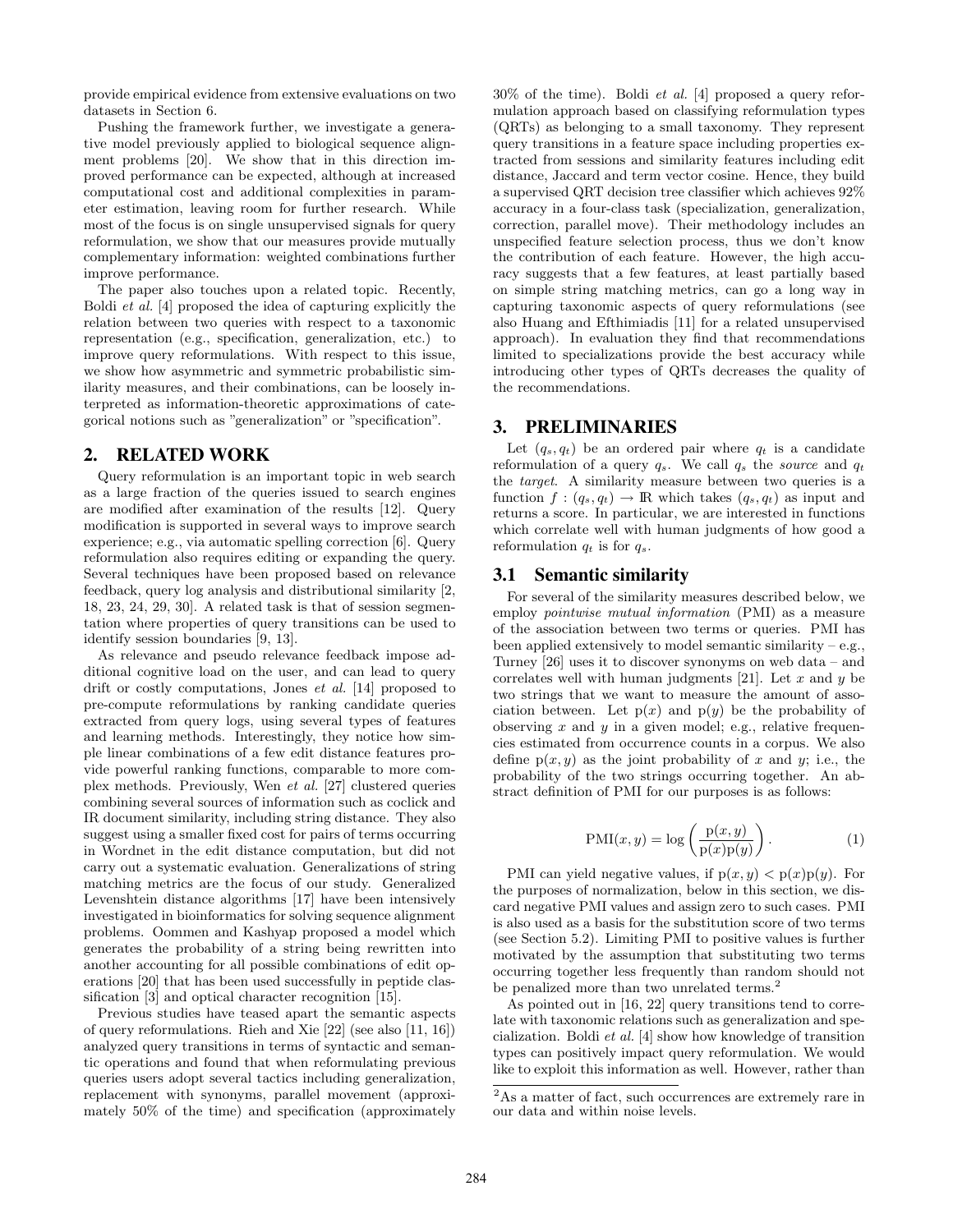provide empirical evidence from extensive evaluations on two datasets in Section 6.

Pushing the framework further, we investigate a generative model previously applied to biological sequence alignment problems [20]. We show that in this direction improved performance can be expected, although at increased computational cost and additional complexities in parameter estimation, leaving room for further research. While most of the focus is on single unsupervised signals for query reformulation, we show that our measures provide mutually complementary information: weighted combinations further improve performance.

The paper also touches upon a related topic. Recently, Boldi et al. [4] proposed the idea of capturing explicitly the relation between two queries with respect to a taxonomic representation (e.g., specification, generalization, etc.) to improve query reformulations. With respect to this issue, we show how asymmetric and symmetric probabilistic similarity measures, and their combinations, can be loosely interpreted as information-theoretic approximations of categorical notions such as "generalization" or "specification".

## 2. RELATED WORK

Query reformulation is an important topic in web search as a large fraction of the queries issued to search engines are modified after examination of the results [12]. Query modification is supported in several ways to improve search experience; e.g., via automatic spelling correction [6]. Query reformulation also requires editing or expanding the query. Several techniques have been proposed based on relevance feedback, query log analysis and distributional similarity [2, 18, 23, 24, 29, 30]. A related task is that of session segmentation where properties of query transitions can be used to identify session boundaries [9, 13].

As relevance and pseudo relevance feedback impose additional cognitive load on the user, and can lead to query drift or costly computations, Jones et al. [14] proposed to pre-compute reformulations by ranking candidate queries extracted from query logs, using several types of features and learning methods. Interestingly, they notice how simple linear combinations of a few edit distance features provide powerful ranking functions, comparable to more complex methods. Previously, Wen et al. [27] clustered queries combining several sources of information such as coclick and IR document similarity, including string distance. They also suggest using a smaller fixed cost for pairs of terms occurring in Wordnet in the edit distance computation, but did not carry out a systematic evaluation. Generalizations of string matching metrics are the focus of our study. Generalized Levenshtein distance algorithms [17] have been intensively investigated in bioinformatics for solving sequence alignment problems. Oommen and Kashyap proposed a model which generates the probability of a string being rewritten into another accounting for all possible combinations of edit operations [20] that has been used successfully in peptide classification [3] and optical character recognition [15].

Previous studies have teased apart the semantic aspects of query reformulations. Rieh and Xie [22] (see also [11, 16]) analyzed query transitions in terms of syntactic and semantic operations and found that when reformulating previous queries users adopt several tactics including generalization, replacement with synonyms, parallel movement (approximately 50% of the time) and specification (approximately  $30\%$  of the time). Boldi *et al.* [4] proposed a query reformulation approach based on classifying reformulation types (QRTs) as belonging to a small taxonomy. They represent query transitions in a feature space including properties extracted from sessions and similarity features including edit distance, Jaccard and term vector cosine. Hence, they build a supervised QRT decision tree classifier which achieves 92% accuracy in a four-class task (specialization, generalization, correction, parallel move). Their methodology includes an unspecified feature selection process, thus we don't know the contribution of each feature. However, the high accuracy suggests that a few features, at least partially based on simple string matching metrics, can go a long way in capturing taxonomic aspects of query reformulations (see also Huang and Efthimiadis [11] for a related unsupervised approach). In evaluation they find that recommendations limited to specializations provide the best accuracy while introducing other types of QRTs decreases the quality of the recommendations.

## 3. PRELIMINARIES

Let  $(q_s, q_t)$  be an ordered pair where  $q_t$  is a candidate reformulation of a query  $q_s$ . We call  $q_s$  the source and  $q_t$ the target. A similarity measure between two queries is a function  $f:(q_s,q_t) \to \mathbb{R}$  which takes  $(q_s,q_t)$  as input and returns a score. In particular, we are interested in functions which correlate well with human judgments of how good a reformulation  $q_t$  is for  $q_s$ .

## 3.1 Semantic similarity

For several of the similarity measures described below, we employ pointwise mutual information (PMI) as a measure of the association between two terms or queries. PMI has been applied extensively to model semantic similarity – e.g., Turney [26] uses it to discover synonyms on web data – and correlates well with human judgments [21]. Let  $x$  and  $y$  be two strings that we want to measure the amount of association between. Let  $p(x)$  and  $p(y)$  be the probability of observing  $x$  and  $y$  in a given model; e.g., relative frequencies estimated from occurrence counts in a corpus. We also define  $p(x, y)$  as the joint probability of x and y; i.e., the probability of the two strings occurring together. An abstract definition of PMI for our purposes is as follows:

$$
PMI(x, y) = \log\left(\frac{p(x, y)}{p(x)p(y)}\right).
$$
 (1)

PMI can yield negative values, if  $p(x, y) < p(x)p(y)$ . For the purposes of normalization, below in this section, we discard negative PMI values and assign zero to such cases. PMI is also used as a basis for the substitution score of two terms (see Section 5.2). Limiting PMI to positive values is further motivated by the assumption that substituting two terms occurring together less frequently than random should not be penalized more than two unrelated terms.<sup>2</sup>

As pointed out in [16, 22] query transitions tend to correlate with taxonomic relations such as generalization and specialization. Boldi et al. [4] show how knowledge of transition types can positively impact query reformulation. We would like to exploit this information as well. However, rather than

<sup>&</sup>lt;sup>2</sup>As a matter of fact, such occurrences are extremely rare in our data and within noise levels.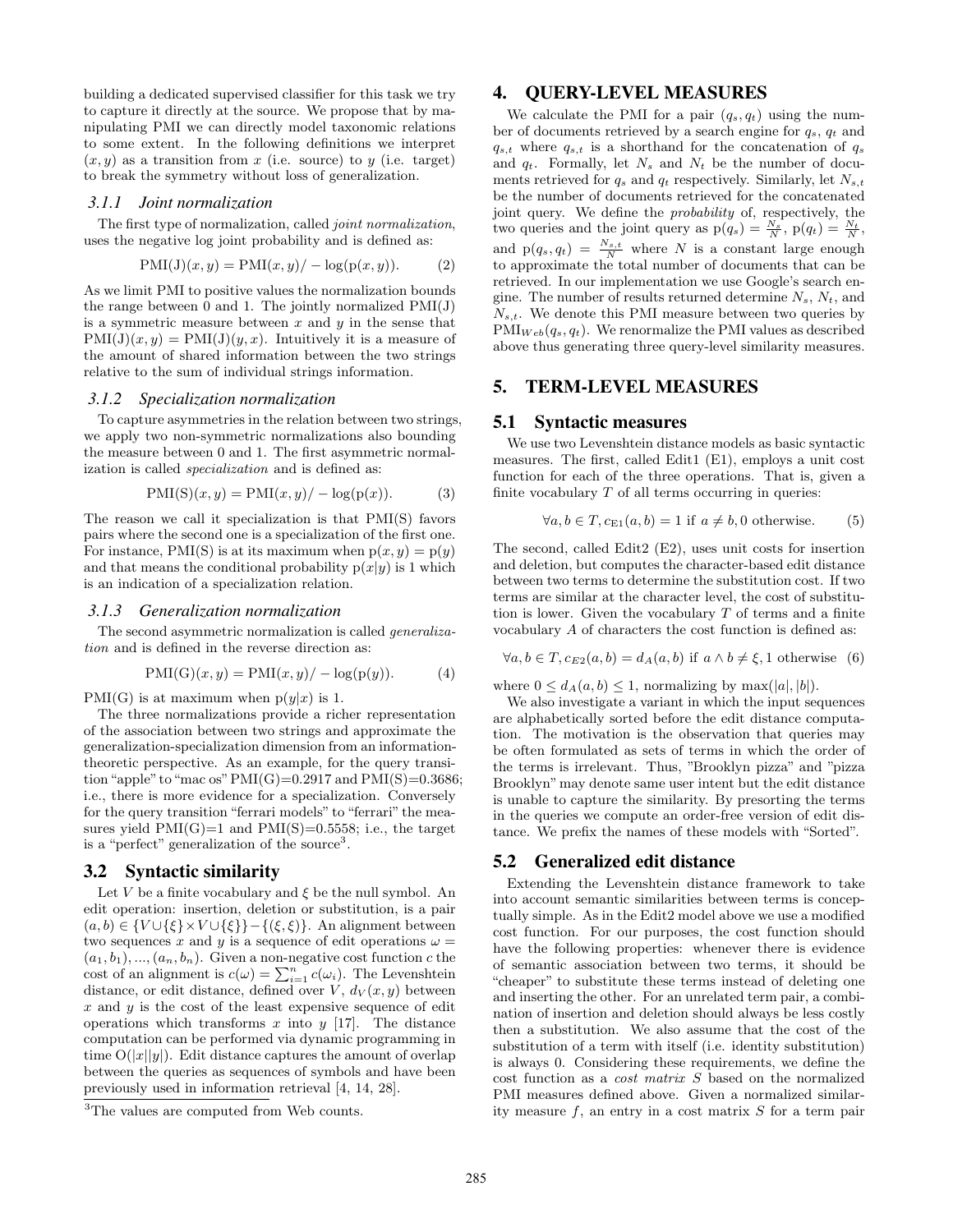building a dedicated supervised classifier for this task we try to capture it directly at the source. We propose that by manipulating PMI we can directly model taxonomic relations to some extent. In the following definitions we interpret  $(x, y)$  as a transition from x (i.e. source) to y (i.e. target) to break the symmetry without loss of generalization.

#### *3.1.1 Joint normalization*

The first type of normalization, called joint normalization, uses the negative log joint probability and is defined as:

$$
PMI(J)(x, y) = PMI(x, y) / -\log(p(x, y)).
$$
 (2)

As we limit PMI to positive values the normalization bounds the range between 0 and 1. The jointly normalized PMI(J) is a symmetric measure between  $x$  and  $y$  in the sense that  $PMI(J)(x, y) = PMI(J)(y, x)$ . Intuitively it is a measure of the amount of shared information between the two strings relative to the sum of individual strings information.

#### *3.1.2 Specialization normalization*

To capture asymmetries in the relation between two strings, we apply two non-symmetric normalizations also bounding the measure between 0 and 1. The first asymmetric normalization is called specialization and is defined as:

$$
PMI(S)(x, y) = PMI(x, y) / - log(p(x)).
$$
\n(3)

The reason we call it specialization is that PMI(S) favors pairs where the second one is a specialization of the first one. For instance, PMI(S) is at its maximum when  $p(x, y) = p(y)$ and that means the conditional probability  $p(x|y)$  is 1 which is an indication of a specialization relation.

#### *3.1.3 Generalization normalization*

The second asymmetric normalization is called *generaliza*tion and is defined in the reverse direction as:

$$
PMI(G)(x, y) = PMI(x, y) / - log(p(y)).
$$
 (4)

PMI(G) is at maximum when  $p(y|x)$  is 1.

The three normalizations provide a richer representation of the association between two strings and approximate the generalization-specialization dimension from an informationtheoretic perspective. As an example, for the query transition "apple" to "mac os"  $PMI(G)=0.2917$  and  $PMI(S)=0.3686$ ; i.e., there is more evidence for a specialization. Conversely for the query transition "ferrari models" to "ferrari" the measures yield  $PMI(G)=1$  and  $PMI(S)=0.5558$ ; i.e., the target is a "perfect" generalization of the source<sup>3</sup>.

## 3.2 Syntactic similarity

Let V be a finite vocabulary and  $\xi$  be the null symbol. An edit operation: insertion, deletion or substitution, is a pair  $(a, b) \in \{V \cup \{\xi\}\times V \cup \{\xi\}\}-\{(\xi, \xi)\}.$  An alignment between two sequences x and y is a sequence of edit operations  $\omega =$  $(a_1, b_1), ..., (a_n, b_n)$ . Given a non-negative cost function c the cost of an alignment is  $c(\omega) = \sum_{i=1}^{n} c(\omega_i)$ . The Levenshtein distance, or edit distance, defined over  $V, d_V(x, y)$  between  $x$  and  $y$  is the cost of the least expensive sequence of edit operations which transforms x into  $y$  [17]. The distance computation can be performed via dynamic programming in time  $O(|x||y|)$ . Edit distance captures the amount of overlap between the queries as sequences of symbols and have been previously used in information retrieval [4, 14, 28].

#### 4. QUERY-LEVEL MEASURES

We calculate the PMI for a pair  $(q_s, q_t)$  using the number of documents retrieved by a search engine for  $q_s$ ,  $q_t$  and  $q_{s,t}$  where  $q_{s,t}$  is a shorthand for the concatenation of  $q_s$ and  $q_t$ . Formally, let  $N_s$  and  $N_t$  be the number of documents retrieved for  $q_s$  and  $q_t$  respectively. Similarly, let  $N_{s,t}$ be the number of documents retrieved for the concatenated joint query. We define the probability of, respectively, the two queries and the joint query as  $p(q_s) = \frac{N_s}{N}$ ,  $p(q_t) = \frac{N_t}{N}$ , and  $p(q_s, q_t) = \frac{N_{s,t}}{N}$  where N is a constant large enough to approximate the total number of documents that can be retrieved. In our implementation we use Google's search engine. The number of results returned determine  $N_s$ ,  $N_t$ , and  $N_{s,t}$ . We denote this PMI measure between two queries by  $PMI_{Web}(q_s, q_t)$ . We renormalize the PMI values as described above thus generating three query-level similarity measures.

# 5. TERM-LEVEL MEASURES

#### 5.1 Syntactic measures

We use two Levenshtein distance models as basic syntactic measures. The first, called Edit1 (E1), employs a unit cost function for each of the three operations. That is, given a finite vocabulary  $T$  of all terms occurring in queries:

$$
\forall a, b \in T, c_{E1}(a, b) = 1 \text{ if } a \neq b, 0 \text{ otherwise.}
$$
 (5)

The second, called Edit2 (E2), uses unit costs for insertion and deletion, but computes the character-based edit distance between two terms to determine the substitution cost. If two terms are similar at the character level, the cost of substitution is lower. Given the vocabulary  $T$  of terms and a finite vocabulary A of characters the cost function is defined as:

$$
\forall a, b \in T, c_{E2}(a, b) = d_A(a, b) \text{ if } a \wedge b \neq \xi, 1 \text{ otherwise } (6)
$$

where  $0 \leq d_A(a, b) \leq 1$ , normalizing by max $(|a|, |b|)$ .

We also investigate a variant in which the input sequences are alphabetically sorted before the edit distance computation. The motivation is the observation that queries may be often formulated as sets of terms in which the order of the terms is irrelevant. Thus, "Brooklyn pizza" and "pizza Brooklyn" may denote same user intent but the edit distance is unable to capture the similarity. By presorting the terms in the queries we compute an order-free version of edit distance. We prefix the names of these models with "Sorted".

## 5.2 Generalized edit distance

Extending the Levenshtein distance framework to take into account semantic similarities between terms is conceptually simple. As in the Edit2 model above we use a modified cost function. For our purposes, the cost function should have the following properties: whenever there is evidence of semantic association between two terms, it should be "cheaper" to substitute these terms instead of deleting one and inserting the other. For an unrelated term pair, a combination of insertion and deletion should always be less costly then a substitution. We also assume that the cost of the substitution of a term with itself (i.e. identity substitution) is always 0. Considering these requirements, we define the cost function as a cost matrix S based on the normalized PMI measures defined above. Given a normalized similarity measure  $f$ , an entry in a cost matrix  $S$  for a term pair

<sup>&</sup>lt;sup>3</sup>The values are computed from Web counts.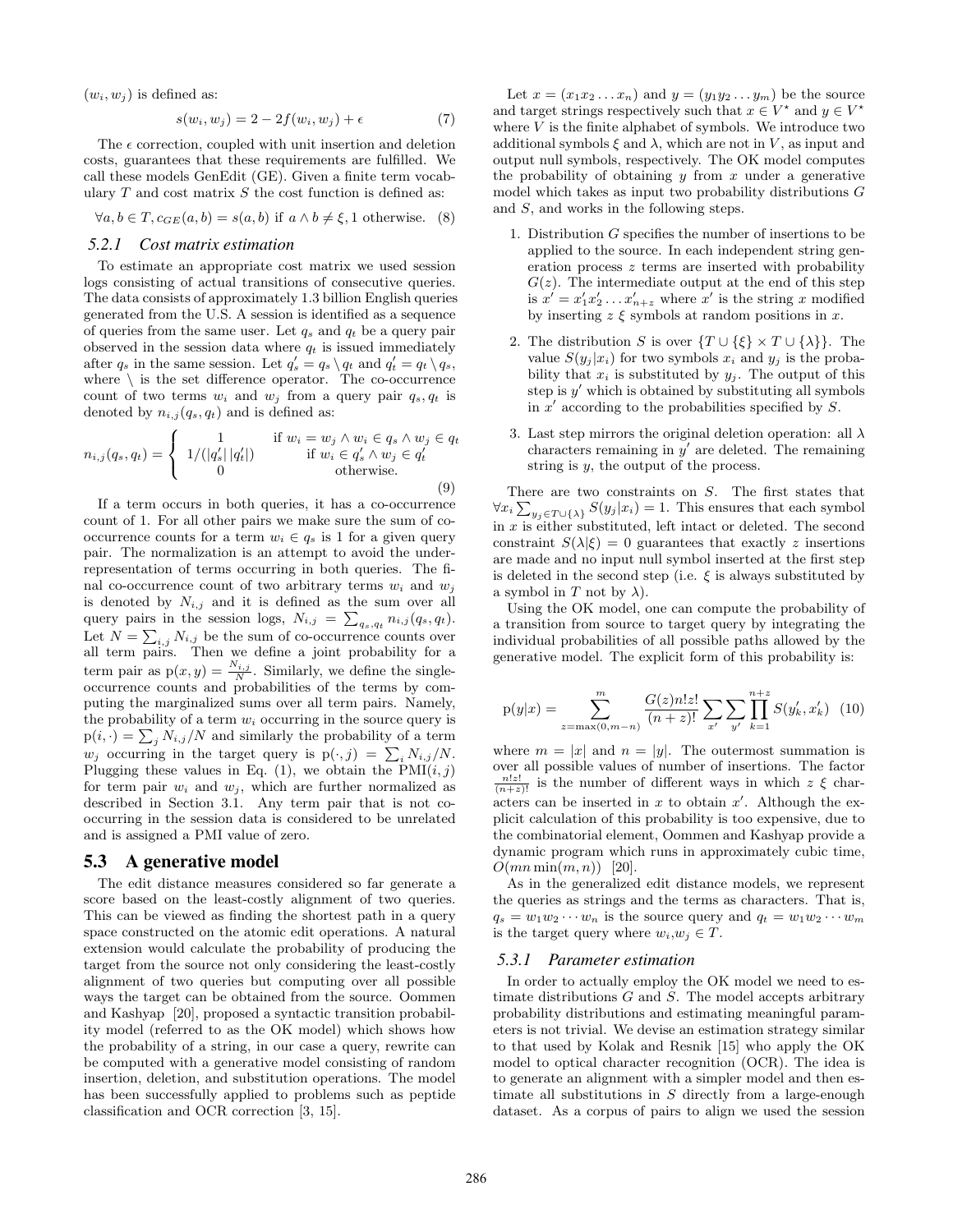$(w_i, w_j)$  is defined as:

$$
s(w_i, w_j) = 2 - 2f(w_i, w_j) + \epsilon \tag{7}
$$

The  $\epsilon$  correction, coupled with unit insertion and deletion costs, guarantees that these requirements are fulfilled. We call these models GenEdit (GE). Given a finite term vocabulary  $T$  and cost matrix  $S$  the cost function is defined as:

$$
\forall a, b \in T, c_{GE}(a, b) = s(a, b) \text{ if } a \wedge b \neq \xi, 1 \text{ otherwise. } (8)
$$

#### *5.2.1 Cost matrix estimation*

To estimate an appropriate cost matrix we used session logs consisting of actual transitions of consecutive queries. The data consists of approximately 1.3 billion English queries generated from the U.S. A session is identified as a sequence of queries from the same user. Let  $q_s$  and  $q_t$  be a query pair observed in the session data where  $q_t$  is issued immediately after  $q_s$  in the same session. Let  $q'_s = q_s \setminus q_t$  and  $q'_t = q_t \setminus q_s$ , where  $\setminus$  is the set difference operator. The co-occurrence count of two terms  $w_i$  and  $w_j$  from a query pair  $q_s, q_t$  is denoted by  $n_{i,j}(q_s, q_t)$  and is defined as:

$$
n_{i,j}(q_s, q_t) = \begin{cases} 1 & \text{if } w_i = w_j \land w_i \in q_s \land w_j \in q_t \\ 1/(|q'_s| |q'_t|) & \text{if } w_i \in q'_s \land w_j \in q'_t \\ 0 & \text{otherwise.} \end{cases}
$$
(9)

If a term occurs in both queries, it has a co-occurrence count of 1. For all other pairs we make sure the sum of cooccurrence counts for a term  $w_i \in q_s$  is 1 for a given query pair. The normalization is an attempt to avoid the underrepresentation of terms occurring in both queries. The final co-occurrence count of two arbitrary terms  $w_i$  and  $w_j$ is denoted by  $N_{i,j}$  and it is defined as the sum over all query pairs in the session logs,  $N_{i,j} = \sum_{q_s,q_t} n_{i,j} (q_s,q_t)$ . Let  $N = \sum_{i,j} N_{i,j}$  be the sum of co-occurrence counts over all term pairs. Then we define a joint probability for a term pair as  $p(x, y) = \frac{N_{i,j}}{N}$ . Similarly, we define the singleoccurrence counts and probabilities of the terms by computing the marginalized sums over all term pairs. Namely, the probability of a term  $w_i$  occurring in the source query is  $p(i, \cdot) = \sum_j N_{i,j}/N$  and similarly the probability of a term  $w_j$  occurring in the target query is  $p(\cdot, j) = \sum_i N_{i,j}/N$ . Plugging these values in Eq. (1), we obtain the  $PMI(i, j)$ for term pair  $w_i$  and  $w_j$ , which are further normalized as described in Section 3.1. Any term pair that is not cooccurring in the session data is considered to be unrelated and is assigned a PMI value of zero.

## 5.3 A generative model

The edit distance measures considered so far generate a score based on the least-costly alignment of two queries. This can be viewed as finding the shortest path in a query space constructed on the atomic edit operations. A natural extension would calculate the probability of producing the target from the source not only considering the least-costly alignment of two queries but computing over all possible ways the target can be obtained from the source. Oommen and Kashyap [20], proposed a syntactic transition probability model (referred to as the OK model) which shows how the probability of a string, in our case a query, rewrite can be computed with a generative model consisting of random insertion, deletion, and substitution operations. The model has been successfully applied to problems such as peptide classification and OCR correction [3, 15].

Let  $x = (x_1 x_2 ... x_n)$  and  $y = (y_1 y_2 ... y_m)$  be the source and target strings respectively such that  $x \in V^*$  and  $y \in V^*$ where  $V$  is the finite alphabet of symbols. We introduce two additional symbols  $\xi$  and  $\lambda$ , which are not in V, as input and output null symbols, respectively. The OK model computes the probability of obtaining  $y$  from  $x$  under a generative model which takes as input two probability distributions G and S, and works in the following steps.

- 1. Distribution G specifies the number of insertions to be applied to the source. In each independent string generation process z terms are inserted with probability  $G(z)$ . The intermediate output at the end of this step is  $x' = x'_1 x'_2 \dots x'_{n+z}$  where x' is the string x modified by inserting  $z \xi$  symbols at random positions in x.
- 2. The distribution S is over  $\{T \cup \{\xi\} \times T \cup \{\lambda\}\}\$ . The value  $S(y_j | x_i)$  for two symbols  $x_i$  and  $y_j$  is the probability that  $x_i$  is substituted by  $y_j$ . The output of this step is  $y'$  which is obtained by substituting all symbols in  $x'$  according to the probabilities specified by  $S$ .
- 3. Last step mirrors the original deletion operation: all  $\lambda$ characters remaining in  $y'$  are deleted. The remaining string is y, the output of the process.

There are two constraints on S. The first states that  $\forall x_i \sum_{y_j \in T \cup \{\lambda\}} S(y_j | x_i) = 1$ . This ensures that each symbol in  $x$  is either substituted, left intact or deleted. The second constraint  $S(\lambda|\xi) = 0$  guarantees that exactly z insertions are made and no input null symbol inserted at the first step is deleted in the second step (i.e.  $\xi$  is always substituted by a symbol in T not by  $\lambda$ ).

Using the OK model, one can compute the probability of a transition from source to target query by integrating the individual probabilities of all possible paths allowed by the generative model. The explicit form of this probability is:

$$
p(y|x) = \sum_{z=\max(0,m-n)}^{m} \frac{G(z)n!z!}{(n+z)!} \sum_{x'} \sum_{y'} \prod_{k=1}^{n+z} S(y'_k, x'_k) \tag{10}
$$

where  $m = |x|$  and  $n = |y|$ . The outermost summation is over all possible values of number of insertions. The factor  $\frac{n!z!}{(n+z)!}$  is the number of different ways in which  $z \xi$  characters can be inserted in  $x$  to obtain  $x'$ . Although the explicit calculation of this probability is too expensive, due to the combinatorial element, Oommen and Kashyap provide a dynamic program which runs in approximately cubic time,  $O(mn \min(m, n))$  [20].

As in the generalized edit distance models, we represent the queries as strings and the terms as characters. That is,  $q_s = w_1w_2\cdots w_n$  is the source query and  $q_t = w_1w_2\cdots w_m$ is the target query where  $w_i, w_j \in T$ .

#### *5.3.1 Parameter estimation*

In order to actually employ the OK model we need to estimate distributions  $G$  and  $S$ . The model accepts arbitrary probability distributions and estimating meaningful parameters is not trivial. We devise an estimation strategy similar to that used by Kolak and Resnik [15] who apply the OK model to optical character recognition (OCR). The idea is to generate an alignment with a simpler model and then estimate all substitutions in  $S$  directly from a large-enough dataset. As a corpus of pairs to align we used the session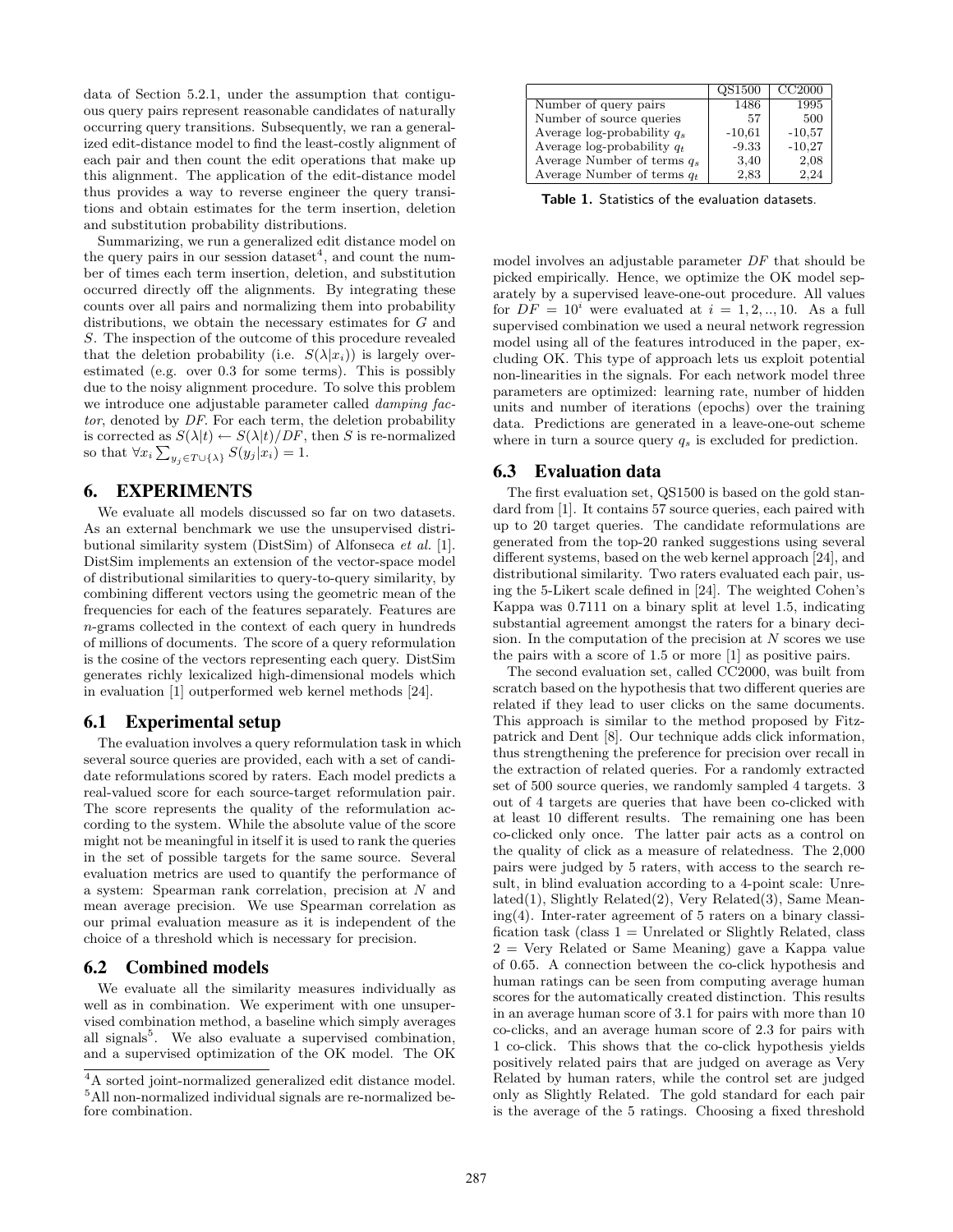data of Section 5.2.1, under the assumption that contiguous query pairs represent reasonable candidates of naturally occurring query transitions. Subsequently, we ran a generalized edit-distance model to find the least-costly alignment of each pair and then count the edit operations that make up this alignment. The application of the edit-distance model thus provides a way to reverse engineer the query transitions and obtain estimates for the term insertion, deletion and substitution probability distributions.

Summarizing, we run a generalized edit distance model on the query pairs in our session dataset<sup>4</sup>, and count the number of times each term insertion, deletion, and substitution occurred directly off the alignments. By integrating these counts over all pairs and normalizing them into probability distributions, we obtain the necessary estimates for G and S. The inspection of the outcome of this procedure revealed that the deletion probability (i.e.  $S(\lambda|x_i)$ ) is largely overestimated (e.g. over 0.3 for some terms). This is possibly due to the noisy alignment procedure. To solve this problem we introduce one adjustable parameter called damping factor, denoted by DF. For each term, the deletion probability is corrected as  $S(\lambda|t) \leftarrow S(\lambda|t)/DF$ , then S is re-normalized so that  $\forall x_i \sum_{y_j \in T \cup \{\lambda\}} S(y_j | x_i) = 1.$ 

# 6. EXPERIMENTS

We evaluate all models discussed so far on two datasets. As an external benchmark we use the unsupervised distributional similarity system (DistSim) of Alfonseca et al. [1]. DistSim implements an extension of the vector-space model of distributional similarities to query-to-query similarity, by combining different vectors using the geometric mean of the frequencies for each of the features separately. Features are n-grams collected in the context of each query in hundreds of millions of documents. The score of a query reformulation is the cosine of the vectors representing each query. DistSim generates richly lexicalized high-dimensional models which in evaluation [1] outperformed web kernel methods [24].

#### 6.1 Experimental setup

The evaluation involves a query reformulation task in which several source queries are provided, each with a set of candidate reformulations scored by raters. Each model predicts a real-valued score for each source-target reformulation pair. The score represents the quality of the reformulation according to the system. While the absolute value of the score might not be meaningful in itself it is used to rank the queries in the set of possible targets for the same source. Several evaluation metrics are used to quantify the performance of a system: Spearman rank correlation, precision at N and mean average precision. We use Spearman correlation as our primal evaluation measure as it is independent of the choice of a threshold which is necessary for precision.

#### 6.2 Combined models

We evaluate all the similarity measures individually as well as in combination. We experiment with one unsupervised combination method, a baseline which simply averages all signals<sup>5</sup>. We also evaluate a supervised combination, and a supervised optimization of the OK model. The OK

|                               | QS1500   | CC2000   |
|-------------------------------|----------|----------|
| Number of query pairs         | 1486     | 1995     |
| Number of source queries      | 57       | 500      |
| Average log-probability $q_s$ | $-10,61$ | $-10,57$ |
| Average log-probability $q_t$ | $-9.33$  | $-10,27$ |
| Average Number of terms $q_s$ | 3,40     | 2,08     |
| Average Number of terms $q_t$ | 2,83     | 2.24     |

Table 1. Statistics of the evaluation datasets.

model involves an adjustable parameter DF that should be picked empirically. Hence, we optimize the OK model separately by a supervised leave-one-out procedure. All values for  $DF = 10^i$  were evaluated at  $i = 1, 2, ..., 10$ . As a full supervised combination we used a neural network regression model using all of the features introduced in the paper, excluding OK. This type of approach lets us exploit potential non-linearities in the signals. For each network model three parameters are optimized: learning rate, number of hidden units and number of iterations (epochs) over the training data. Predictions are generated in a leave-one-out scheme where in turn a source query  $q_s$  is excluded for prediction.

#### 6.3 Evaluation data

The first evaluation set, QS1500 is based on the gold standard from [1]. It contains 57 source queries, each paired with up to 20 target queries. The candidate reformulations are generated from the top-20 ranked suggestions using several different systems, based on the web kernel approach [24], and distributional similarity. Two raters evaluated each pair, using the 5-Likert scale defined in [24]. The weighted Cohen's Kappa was 0.7111 on a binary split at level 1.5, indicating substantial agreement amongst the raters for a binary decision. In the computation of the precision at  $N$  scores we use the pairs with a score of 1.5 or more [1] as positive pairs.

The second evaluation set, called CC2000, was built from scratch based on the hypothesis that two different queries are related if they lead to user clicks on the same documents. This approach is similar to the method proposed by Fitzpatrick and Dent [8]. Our technique adds click information, thus strengthening the preference for precision over recall in the extraction of related queries. For a randomly extracted set of 500 source queries, we randomly sampled 4 targets. 3 out of 4 targets are queries that have been co-clicked with at least 10 different results. The remaining one has been co-clicked only once. The latter pair acts as a control on the quality of click as a measure of relatedness. The 2,000 pairs were judged by 5 raters, with access to the search result, in blind evaluation according to a 4-point scale: Unrelated(1), Slightly Related(2), Very Related(3), Same Mean $ing(4)$ . Inter-rater agreement of 5 raters on a binary classification task (class  $1 =$  Unrelated or Slightly Related, class  $2 = \text{Very Related or Same Meaning}$  gave a Kappa value of 0.65. A connection between the co-click hypothesis and human ratings can be seen from computing average human scores for the automatically created distinction. This results in an average human score of 3.1 for pairs with more than 10 co-clicks, and an average human score of 2.3 for pairs with 1 co-click. This shows that the co-click hypothesis yields positively related pairs that are judged on average as Very Related by human raters, while the control set are judged only as Slightly Related. The gold standard for each pair is the average of the 5 ratings. Choosing a fixed threshold

<sup>4</sup>A sorted joint-normalized generalized edit distance model. <sup>5</sup>All non-normalized individual signals are re-normalized before combination.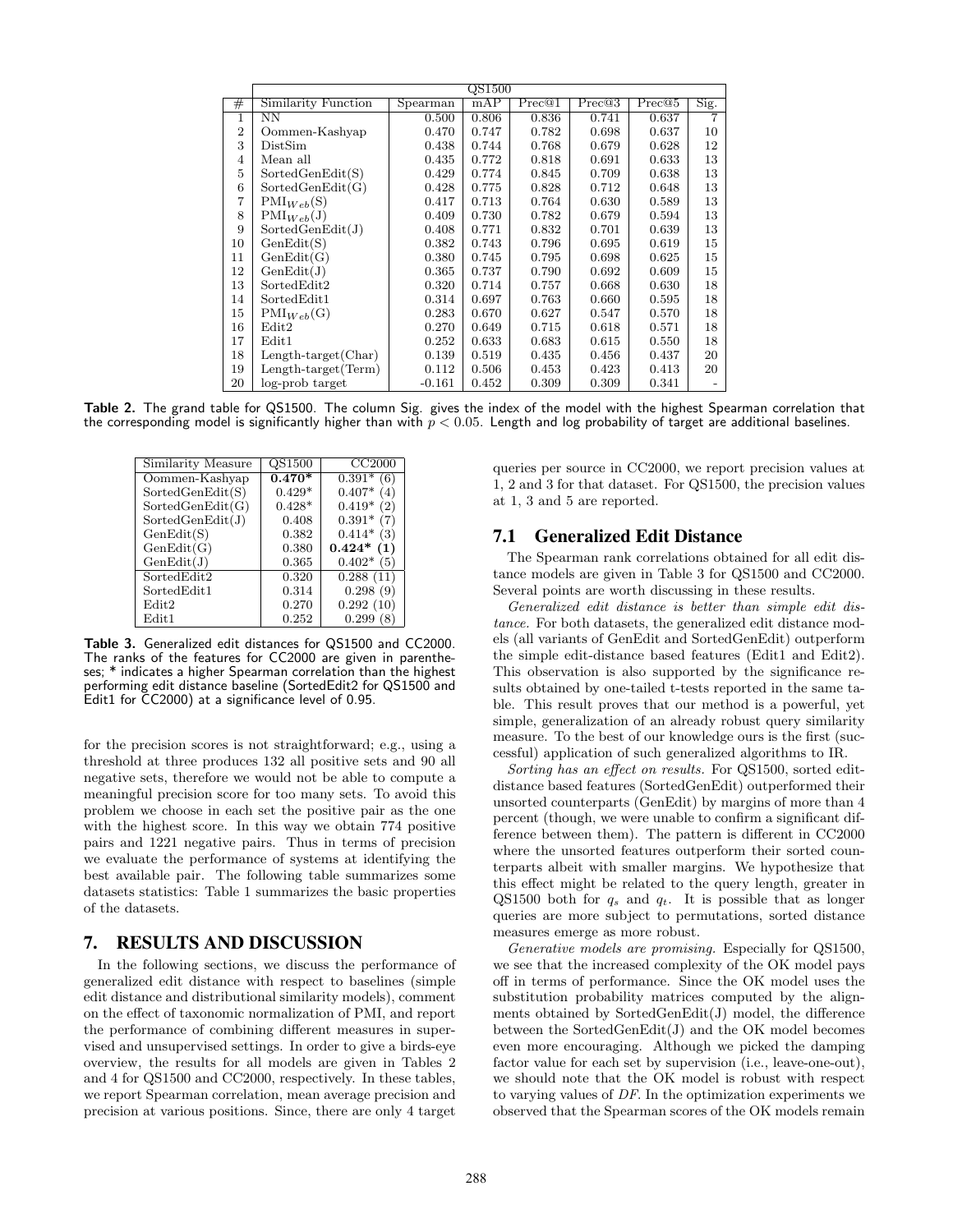|                | $\overline{\text{OS}1500}$   |          |                  |        |                   |        |                          |
|----------------|------------------------------|----------|------------------|--------|-------------------|--------|--------------------------|
| #              | Similarity Function          | Spearman | $m\overline{AP}$ | Prec@1 | $\mathrm{Prec}@3$ | Prec@5 | $\overline{\text{Sig.}}$ |
| $\mathbf{1}$   | NN                           | 0.500    | 0.806            | 0.836  | 0.741             | 0.637  | 7                        |
| $\overline{2}$ | Oommen-Kashyap               | 0.470    | 0.747            | 0.782  | 0.698             | 0.637  | 10                       |
| 3              | DistSim                      | 0.438    | 0.744            | 0.768  | 0.679             | 0.628  | 12                       |
| $\overline{4}$ | Mean all                     | 0.435    | 0.772            | 0.818  | 0.691             | 0.633  | 13                       |
| 5              | SortedGenEdit(S)             | 0.429    | 0.774            | 0.845  | 0.709             | 0.638  | 13                       |
| 6              | SortedGenEdit(G)             | 0.428    | 0.775            | 0.828  | 0.712             | 0.648  | 13                       |
| $\overline{7}$ | $PMI_{Web}(S)$               | 0.417    | 0.713            | 0.764  | 0.630             | 0.589  | 13                       |
| 8              | $\mathrm{PMI}_{Web}(J)$      | 0.409    | 0.730            | 0.782  | 0.679             | 0.594  | 13                       |
| 9              | SortedGenEdit(J)             | 0.408    | 0.771            | 0.832  | 0.701             | 0.639  | 13                       |
| 10             | GenEdit(S)                   | 0.382    | 0.743            | 0.796  | 0.695             | 0.619  | 15                       |
| 11             | GenEdit(G)                   | 0.380    | 0.745            | 0.795  | 0.698             | 0.625  | 15                       |
| 12             | GenEdit(J)                   | 0.365    | 0.737            | 0.790  | 0.692             | 0.609  | 15                       |
| 13             | SortedEdit2                  | 0.320    | 0.714            | 0.757  | 0.668             | 0.630  | 18                       |
| 14             | SortedEdit1                  | 0.314    | 0.697            | 0.763  | 0.660             | 0.595  | 18                       |
| 15             | $\text{PMI}_{Web}(G)$        | 0.283    | 0.670            | 0.627  | 0.547             | 0.570  | 18                       |
| 16             | Edit2                        | 0.270    | 0.649            | 0.715  | 0.618             | 0.571  | 18                       |
| 17             | Edit1                        | 0.252    | 0.633            | 0.683  | 0.615             | 0.550  | 18                       |
| 18             | $Length\text{-}target(Char)$ | 0.139    | 0.519            | 0.435  | 0.456             | 0.437  | 20                       |
| 19             | $Length\text{-}target(Term)$ | 0.112    | 0.506            | 0.453  | 0.423             | 0.413  | 20                       |
| 20             | log-prob target              | $-0.161$ | 0.452            | 0.309  | 0.309             | 0.341  |                          |

Table 2. The grand table for QS1500. The column Sig. gives the index of the model with the highest Spearman correlation that the corresponding model is significantly higher than with  $p < 0.05$ . Length and log probability of target are additional baselines.

| Similarity Measure | QS1500   | CC2000          |
|--------------------|----------|-----------------|
| Oommen-Kashyap     | $0.470*$ | $0.391*$<br>(6) |
| SortedGenEdit(S)   | $0.429*$ | $0.407*$<br>(4) |
| SortedGenEdit(G)   | $0.428*$ | $0.419*$<br>(2) |
| SortedGenEdit(J)   | 0.408    | $0.391*$<br>(7  |
| GenEdit(S)         | 0.382    | $0.414*(3)$     |
| GenEdit(G)         | 0.380    | $0.424*$<br>(1) |
| GenEdit(J)         | 0.365    | $0.402*$<br>(5) |
| SortedEdit2        | 0.320    | 0.288(11)       |
| SortedEdit1        | 0.314    | 0.298(9)        |
| Edit2              | 0.270    | 0.292(10)       |
| $_{\rm Edit1}$     | 0.252    | 0.299           |

Table 3. Generalized edit distances for QS1500 and CC2000. The ranks of the features for CC2000 are given in parenthe-<br>ses; \* indicates a higher Spearman correlation than the highest indicates a higher Spearman correlation than the highest performing edit distance baseline (SortedEdit2 for QS1500 and Edit1 for CC2000) at a significance level of 0.95.

for the precision scores is not straightforward; e.g., using a threshold at three produces 132 all positive sets and 90 all negative sets, therefore we would not be able to compute a meaningful precision score for too many sets. To avoid this problem we choose in each set the positive pair as the one with the highest score. In this way we obtain 774 positive pairs and 1221 negative pairs. Thus in terms of precision we evaluate the performance of systems at identifying the best available pair. The following table summarizes some datasets statistics: Table 1 summarizes the basic properties of the datasets.

## 7. RESULTS AND DISCUSSION

In the following sections, we discuss the performance of generalized edit distance with respect to baselines (simple edit distance and distributional similarity models), comment on the effect of taxonomic normalization of PMI, and report the performance of combining different measures in supervised and unsupervised settings. In order to give a birds-eye overview, the results for all models are given in Tables 2 and 4 for QS1500 and CC2000, respectively. In these tables, we report Spearman correlation, mean average precision and precision at various positions. Since, there are only 4 target

queries per source in CC2000, we report precision values at 1, 2 and 3 for that dataset. For QS1500, the precision values at 1, 3 and 5 are reported.

## 7.1 Generalized Edit Distance

The Spearman rank correlations obtained for all edit distance models are given in Table 3 for QS1500 and CC2000. Several points are worth discussing in these results.

Generalized edit distance is better than simple edit distance. For both datasets, the generalized edit distance models (all variants of GenEdit and SortedGenEdit) outperform the simple edit-distance based features (Edit1 and Edit2). This observation is also supported by the significance results obtained by one-tailed t-tests reported in the same table. This result proves that our method is a powerful, yet simple, generalization of an already robust query similarity measure. To the best of our knowledge ours is the first (successful) application of such generalized algorithms to IR.

Sorting has an effect on results. For QS1500, sorted editdistance based features (SortedGenEdit) outperformed their unsorted counterparts (GenEdit) by margins of more than 4 percent (though, we were unable to confirm a significant difference between them). The pattern is different in CC2000 where the unsorted features outperform their sorted counterparts albeit with smaller margins. We hypothesize that this effect might be related to the query length, greater in QS1500 both for  $q_s$  and  $q_t$ . It is possible that as longer queries are more subject to permutations, sorted distance measures emerge as more robust.

Generative models are promising. Especially for QS1500, we see that the increased complexity of the OK model pays off in terms of performance. Since the OK model uses the substitution probability matrices computed by the alignments obtained by SortedGenEdit(J) model, the difference between the SortedGenEdit(J) and the OK model becomes even more encouraging. Although we picked the damping factor value for each set by supervision (i.e., leave-one-out), we should note that the OK model is robust with respect to varying values of DF. In the optimization experiments we observed that the Spearman scores of the OK models remain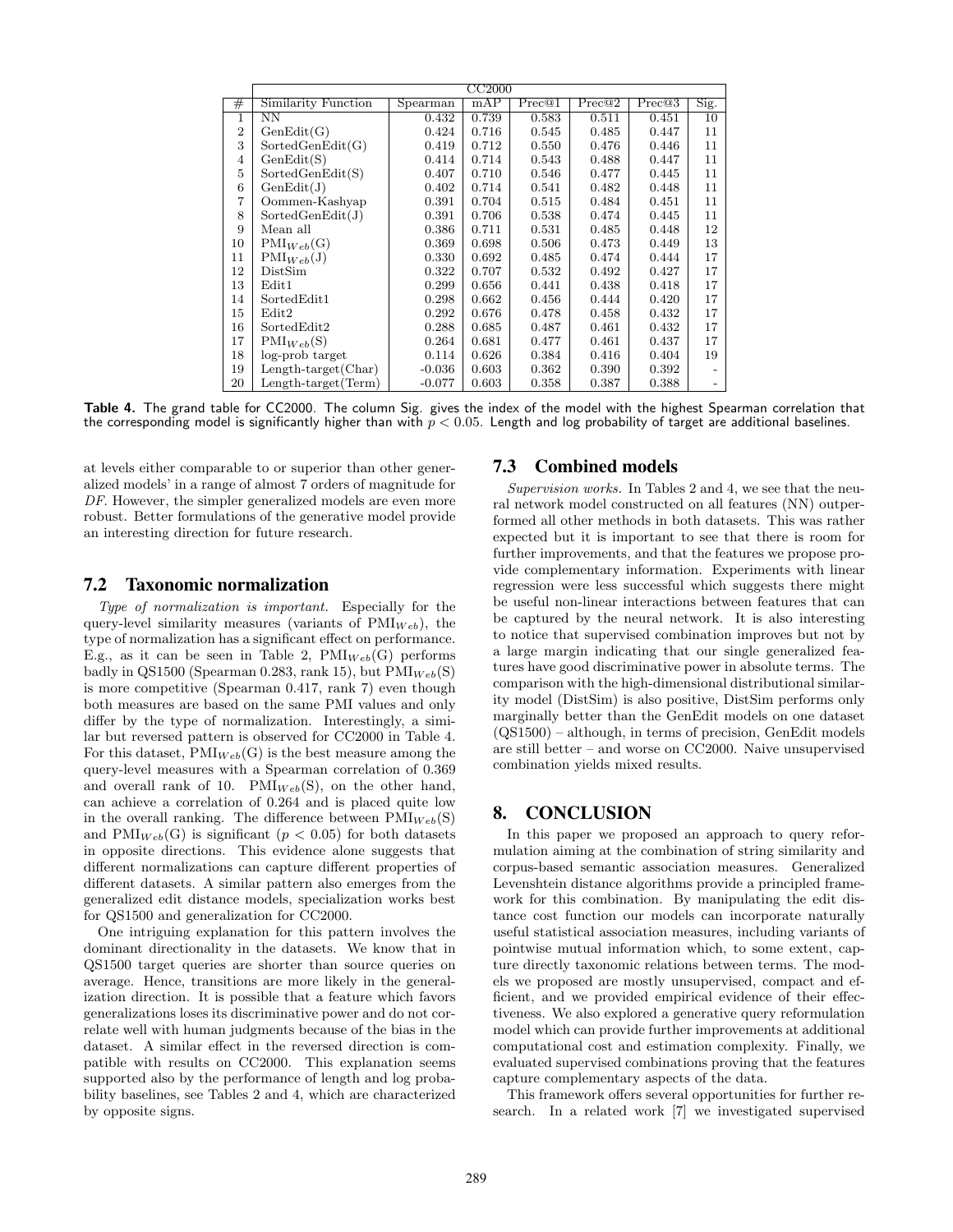|                | CC <sub>2000</sub>           |          |                  |        |        |        |                          |
|----------------|------------------------------|----------|------------------|--------|--------|--------|--------------------------|
| $^{\#}$        | Similarity Function          | Spearman | $m\overline{AP}$ | Prec@1 | Prec@2 | Prec@3 | $\overline{\text{Sig.}}$ |
| $\overline{1}$ | NN                           | 0.432    | 0.739            | 0.583  | 0.511  | 0.451  | 10                       |
| $\overline{2}$ | GenEdit(G)                   | 0.424    | 0.716            | 0.545  | 0.485  | 0.447  | 11                       |
| 3              | SortedGenEdit(G)             | 0.419    | 0.712            | 0.550  | 0.476  | 0.446  | 11                       |
| 4              | GenEdit(S)                   | 0.414    | 0.714            | 0.543  | 0.488  | 0.447  | 11                       |
| 5              | SortedGenEdit(S)             | 0.407    | 0.710            | 0.546  | 0.477  | 0.445  | 11                       |
| 6              | GenEdit(J)                   | 0.402    | 0.714            | 0.541  | 0.482  | 0.448  | 11                       |
| $\overline{7}$ | Oommen-Kashyap               | 0.391    | 0.704            | 0.515  | 0.484  | 0.451  | 11                       |
| 8              | SortedGenEdit(J)             | 0.391    | 0.706            | 0.538  | 0.474  | 0.445  | 11                       |
| 9              | Mean all                     | 0.386    | 0.711            | 0.531  | 0.485  | 0.448  | 12                       |
| 10             | $\mathrm{PMI}_{Web}(G)$      | 0.369    | 0.698            | 0.506  | 0.473  | 0.449  | 13                       |
| 11             | $\mathrm{PMI}_{Web}(J)$      | 0.330    | 0.692            | 0.485  | 0.474  | 0.444  | 17                       |
| 12             | DistSim                      | 0.322    | 0.707            | 0.532  | 0.492  | 0.427  | 17                       |
| 13             | Edit1                        | 0.299    | 0.656            | 0.441  | 0.438  | 0.418  | 17                       |
| 14             | SortedEdit1                  | 0.298    | 0.662            | 0.456  | 0.444  | 0.420  | 17                       |
| 15             | Edit2                        | 0.292    | 0.676            | 0.478  | 0.458  | 0.432  | 17                       |
| 16             | SortedEdit2                  | 0.288    | 0.685            | 0.487  | 0.461  | 0.432  | 17                       |
| 17             | $PMI_{Web}(S)$               | 0.264    | 0.681            | 0.477  | 0.461  | 0.437  | 17                       |
| 18             | log-prob target              | 0.114    | 0.626            | 0.384  | 0.416  | 0.404  | 19                       |
| 19             | $Length\text{-}target(Char)$ | $-0.036$ | 0.603            | 0.362  | 0.390  | 0.392  |                          |
| 20             | $Length\text{-}target(Term)$ | $-0.077$ | 0.603            | 0.358  | 0.387  | 0.388  |                          |

Table 4. The grand table for CC2000. The column Sig. gives the index of the model with the highest Spearman correlation that the corresponding model is significantly higher than with  $p < 0.05$ . Length and log probability of target are additional baselines.

at levels either comparable to or superior than other generalized models' in a range of almost 7 orders of magnitude for DF. However, the simpler generalized models are even more robust. Better formulations of the generative model provide an interesting direction for future research.

## 7.2 Taxonomic normalization

Type of normalization is important. Especially for the query-level similarity measures (variants of  $PMI_{Web}$ ), the type of normalization has a significant effect on performance. E.g., as it can be seen in Table 2,  $\text{PMI}_{Web}(G)$  performs badly in QS1500 (Spearman 0.283, rank 15), but  $\text{PMI}_{Web}(S)$ is more competitive (Spearman 0.417, rank 7) even though both measures are based on the same PMI values and only differ by the type of normalization. Interestingly, a similar but reversed pattern is observed for CC2000 in Table 4. For this dataset,  $\text{PMI}_{Web}(G)$  is the best measure among the query-level measures with a Spearman correlation of 0.369 and overall rank of 10.  $\text{PMI}_{Web}(S)$ , on the other hand, can achieve a correlation of 0.264 and is placed quite low in the overall ranking. The difference between  $\text{PMI}_{Web}(S)$ and  $PMI_{Web}(G)$  is significant ( $p < 0.05$ ) for both datasets in opposite directions. This evidence alone suggests that different normalizations can capture different properties of different datasets. A similar pattern also emerges from the generalized edit distance models, specialization works best for QS1500 and generalization for CC2000.

One intriguing explanation for this pattern involves the dominant directionality in the datasets. We know that in QS1500 target queries are shorter than source queries on average. Hence, transitions are more likely in the generalization direction. It is possible that a feature which favors generalizations loses its discriminative power and do not correlate well with human judgments because of the bias in the dataset. A similar effect in the reversed direction is compatible with results on CC2000. This explanation seems supported also by the performance of length and log probability baselines, see Tables 2 and 4, which are characterized by opposite signs.

#### 7.3 Combined models

Supervision works. In Tables 2 and 4, we see that the neural network model constructed on all features (NN) outperformed all other methods in both datasets. This was rather expected but it is important to see that there is room for further improvements, and that the features we propose provide complementary information. Experiments with linear regression were less successful which suggests there might be useful non-linear interactions between features that can be captured by the neural network. It is also interesting to notice that supervised combination improves but not by a large margin indicating that our single generalized features have good discriminative power in absolute terms. The comparison with the high-dimensional distributional similarity model (DistSim) is also positive, DistSim performs only marginally better than the GenEdit models on one dataset (QS1500) – although, in terms of precision, GenEdit models are still better – and worse on CC2000. Naive unsupervised combination yields mixed results.

# 8. CONCLUSION

In this paper we proposed an approach to query reformulation aiming at the combination of string similarity and corpus-based semantic association measures. Generalized Levenshtein distance algorithms provide a principled framework for this combination. By manipulating the edit distance cost function our models can incorporate naturally useful statistical association measures, including variants of pointwise mutual information which, to some extent, capture directly taxonomic relations between terms. The models we proposed are mostly unsupervised, compact and efficient, and we provided empirical evidence of their effectiveness. We also explored a generative query reformulation model which can provide further improvements at additional computational cost and estimation complexity. Finally, we evaluated supervised combinations proving that the features capture complementary aspects of the data.

This framework offers several opportunities for further research. In a related work [7] we investigated supervised